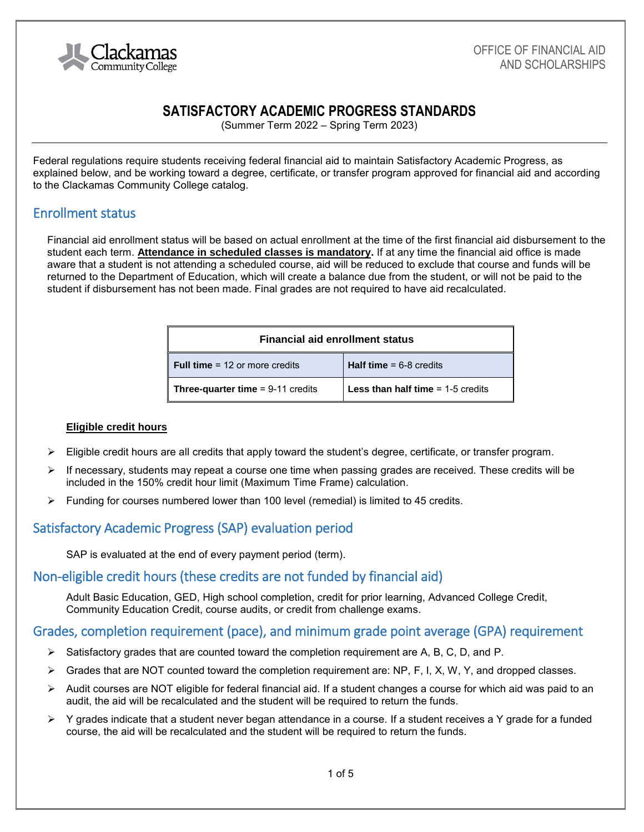

# **SATISFACTORY ACADEMIC PROGRESS STANDARDS**

(Summer Term 2022 – Spring Term 2023)

Federal regulations require students receiving federal financial aid to maintain Satisfactory Academic Progress, as explained below, and be working toward a degree, certificate, or transfer program approved for financial aid and according to the Clackamas Community College catalog.

## Enrollment status

Financial aid enrollment status will be based on actual enrollment at the time of the first financial aid disbursement to the student each term. **Attendance in scheduled classes is mandatory.** If at any time the financial aid office is made aware that a student is not attending a scheduled course, aid will be reduced to exclude that course and funds will be returned to the Department of Education, which will create a balance due from the student, or will not be paid to the student if disbursement has not been made. Final grades are not required to have aid recalculated.

| <b>Financial aid enrollment status</b> |                                                       |
|----------------------------------------|-------------------------------------------------------|
| <b>Full time = 12 or more credits</b>  | <b>Half time</b> $= 6-8$ credits                      |
| Three-quarter time $= 9-11$ credits    | <b>Less than half time <math>= 1-5</math> credits</b> |

#### **Eligible credit hours**

- $\triangleright$  Eligible credit hours are all credits that apply toward the student's degree, certificate, or transfer program.
- $\triangleright$  If necessary, students may repeat a course one time when passing grades are received. These credits will be included in the 150% credit hour limit (Maximum Time Frame) calculation.
- $\triangleright$  Funding for courses numbered lower than 100 level (remedial) is limited to 45 credits.

# Satisfactory Academic Progress (SAP) evaluation period

SAP is evaluated at the end of every payment period (term).

### Non-eligible credit hours (these credits are not funded by financial aid)

Adult Basic Education, GED, High school completion, credit for prior learning, Advanced College Credit, Community Education Credit, course audits, or credit from challenge exams.

### Grades, completion requirement (pace), and minimum grade point average (GPA) requirement

- $\triangleright$  Satisfactory grades that are counted toward the completion requirement are A, B, C, D, and P.
- ➢ Grades that are NOT counted toward the completion requirement are: NP, F, I, X, W, Y, and dropped classes.
- ➢ Audit courses are NOT eligible for federal financial aid. If a student changes a course for which aid was paid to an audit, the aid will be recalculated and the student will be required to return the funds.
- ➢ Y grades indicate that a student never began attendance in a course. If a student receives a Y grade for a funded course, the aid will be recalculated and the student will be required to return the funds.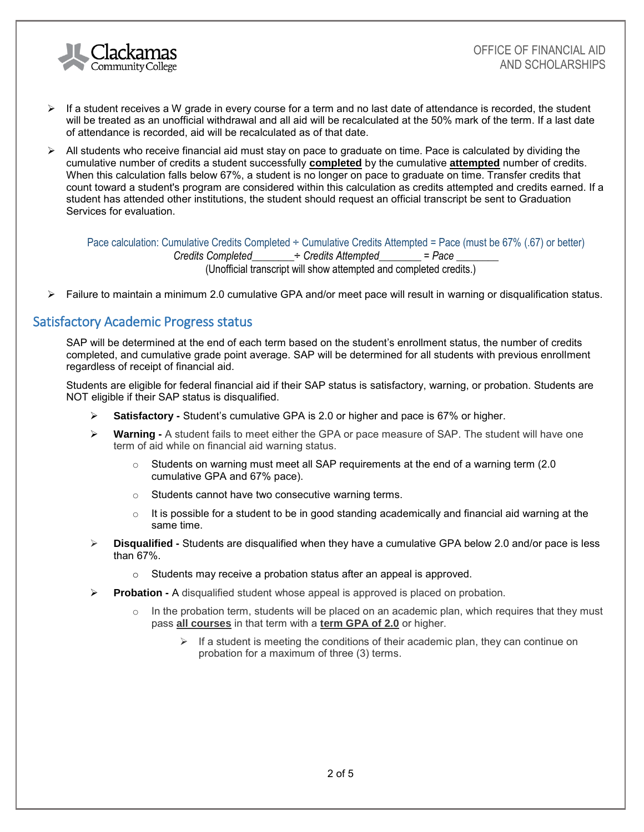

- $\triangleright$  If a student receives a W grade in every course for a term and no last date of attendance is recorded, the student will be treated as an unofficial withdrawal and all aid will be recalculated at the 50% mark of the term. If a last date of attendance is recorded, aid will be recalculated as of that date.
- ➢ All students who receive financial aid must stay on pace to graduate on time. Pace is calculated by dividing the cumulative number of credits a student successfully **completed** by the cumulative **attempted** number of credits. When this calculation falls below 67%, a student is no longer on pace to graduate on time. Transfer credits that count toward a student's program are considered within this calculation as credits attempted and credits earned. If a student has attended other institutions, the student should request an official transcript be sent to Graduation Services for evaluation.

Pace calculation: Cumulative Credits Completed ÷ Cumulative Credits Attempted = Pace (must be 67% (.67) or better) *Credits Completed*\_\_\_\_\_\_\_\_÷ *Credits Attempted*\_\_\_\_\_\_\_\_ = *Pace* \_\_\_\_\_\_\_\_ (Unofficial transcript will show attempted and completed credits.)

➢ Failure to maintain a minimum 2.0 cumulative GPA and/or meet pace will result in warning or disqualification status.

## Satisfactory Academic Progress status

SAP will be determined at the end of each term based on the student's enrollment status, the number of credits completed, and cumulative grade point average. SAP will be determined for all students with previous enrollment regardless of receipt of financial aid.

Students are eligible for federal financial aid if their SAP status is satisfactory, warning, or probation. Students are NOT eligible if their SAP status is disqualified.

- ➢ **Satisfactory -** Student's cumulative GPA is 2.0 or higher and pace is 67% or higher.
- ➢ **Warning -** A student fails to meet either the GPA or pace measure of SAP. The student will have one term of aid while on financial aid warning status.
	- $\circ$  Students on warning must meet all SAP requirements at the end of a warning term (2.0) cumulative GPA and 67% pace).
	- o Students cannot have two consecutive warning terms.
	- $\circ$  It is possible for a student to be in good standing academically and financial aid warning at the same time.
- ➢ **Disqualified -** Students are disqualified when they have a cumulative GPA below 2.0 and/or pace is less than 67%.
	- $\circ$  Students may receive a probation status after an appeal is approved.
- ➢ **Probation -** A disqualified student whose appeal is approved is placed on probation.
	- $\circ$  In the probation term, students will be placed on an academic plan, which requires that they must pass **all courses** in that term with a **term GPA of 2.0** or higher.
		- $\triangleright$  If a student is meeting the conditions of their academic plan, they can continue on probation for a maximum of three (3) terms.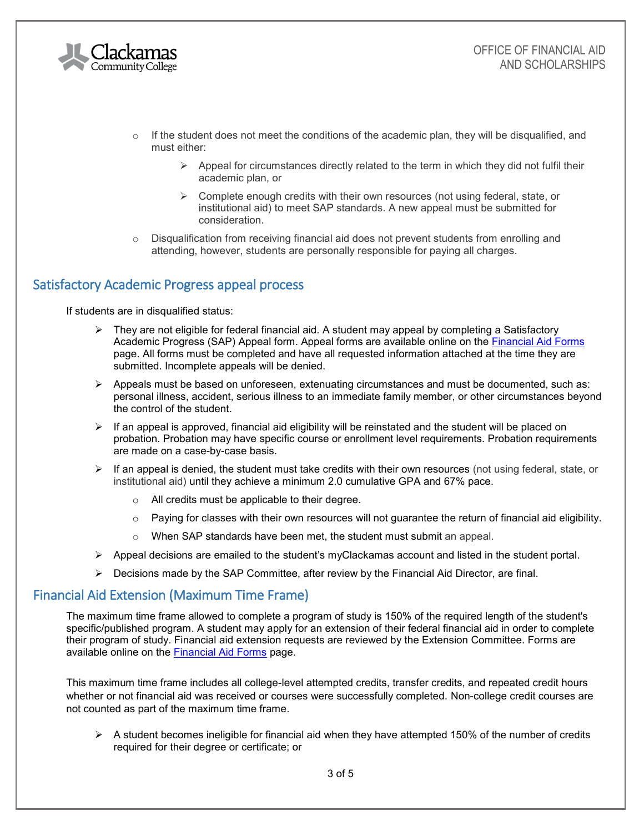

- $\circ$  If the student does not meet the conditions of the academic plan, they will be disqualified, and must either:
	- $\triangleright$  Appeal for circumstances directly related to the term in which they did not fulfil their academic plan, or
	- $\triangleright$  Complete enough credits with their own resources (not using federal, state, or institutional aid) to meet SAP standards. A new appeal must be submitted for consideration.
- $\circ$  Disqualification from receiving financial aid does not prevent students from enrolling and attending, however, students are personally responsible for paying all charges.

# Satisfactory Academic Progress appeal process

If students are in disqualified status:

- $\triangleright$  They are not eligible for federal financial aid. A student may appeal by completing a Satisfactory Academic Progress (SAP) Appeal form. Appeal forms are available online on the [Financial Aid Forms](http://www.clackamas.edu/admissions-financial-aid/financial-aid-scholarships/financial-aid-forms) page. All forms must be completed and have all requested information attached at the time they are submitted. Incomplete appeals will be denied.
- $\triangleright$  Appeals must be based on unforeseen, extenuating circumstances and must be documented, such as: personal illness, accident, serious illness to an immediate family member, or other circumstances beyond the control of the student.
- $\triangleright$  If an appeal is approved, financial aid eligibility will be reinstated and the student will be placed on probation. Probation may have specific course or enrollment level requirements. Probation requirements are made on a case-by-case basis.
- $\triangleright$  If an appeal is denied, the student must take credits with their own resources (not using federal, state, or institutional aid) until they achieve a minimum 2.0 cumulative GPA and 67% pace.
	- o All credits must be applicable to their degree.
	- $\circ$  Paying for classes with their own resources will not guarantee the return of financial aid eligibility.
	- o When SAP standards have been met, the student must submit an appeal.
- ➢ Appeal decisions are emailed to the student's myClackamas account and listed in the student portal.
- $\triangleright$  Decisions made by the SAP Committee, after review by the Financial Aid Director, are final.

### Financial Aid Extension (Maximum Time Frame)

The maximum time frame allowed to complete a program of study is 150% of the required length of the student's specific/published program. A student may apply for an extension of their federal financial aid in order to complete their program of study. Financial aid extension requests are reviewed by the Extension Committee. Forms are available online on the [Financial Aid Forms](http://www.clackamas.edu/admissions-financial-aid/financial-aid-scholarships/financial-aid-forms) page.

This maximum time frame includes all college-level attempted credits, transfer credits, and repeated credit hours whether or not financial aid was received or courses were successfully completed. Non-college credit courses are not counted as part of the maximum time frame.

 $\triangleright$  A student becomes ineligible for financial aid when they have attempted 150% of the number of credits required for their degree or certificate; or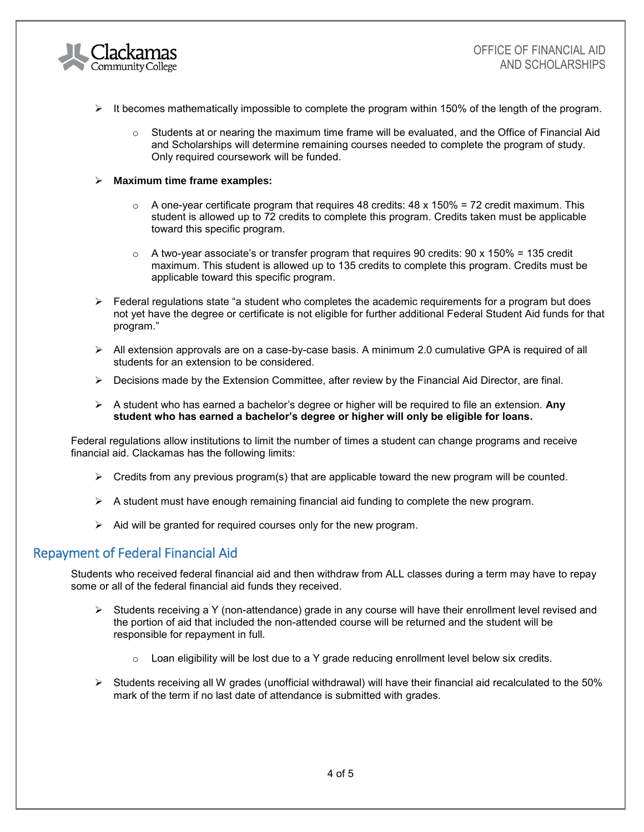

- $\triangleright$  It becomes mathematically impossible to complete the program within 150% of the length of the program.
	- $\circ$  Students at or nearing the maximum time frame will be evaluated, and the Office of Financial Aid and Scholarships will determine remaining courses needed to complete the program of study. Only required coursework will be funded.
- ➢ **Maximum time frame examples:**
	- $\circ$  A one-vear certificate program that requires 48 credits: 48 x 150% = 72 credit maximum. This student is allowed up to 72 credits to complete this program. Credits taken must be applicable toward this specific program.
	- $\circ$  A two-year associate's or transfer program that requires 90 credits: 90 x 150% = 135 credit maximum. This student is allowed up to 135 credits to complete this program. Credits must be applicable toward this specific program.
- $\triangleright$  Federal regulations state "a student who completes the academic requirements for a program but does not yet have the degree or certificate is not eligible for further additional Federal Student Aid funds for that program."
- $\triangleright$  All extension approvals are on a case-by-case basis. A minimum 2.0 cumulative GPA is required of all students for an extension to be considered.
- ➢ Decisions made by the Extension Committee, after review by the Financial Aid Director, are final.
- ➢ A student who has earned a bachelor's degree or higher will be required to file an extension. **Any student who has earned a bachelor's degree or higher will only be eligible for loans.**

Federal regulations allow institutions to limit the number of times a student can change programs and receive financial aid. Clackamas has the following limits:

- $\triangleright$  Credits from any previous program(s) that are applicable toward the new program will be counted.
- $\triangleright$  A student must have enough remaining financial aid funding to complete the new program.
- ➢ Aid will be granted for required courses only for the new program.

### Repayment of Federal Financial Aid

Students who received federal financial aid and then withdraw from ALL classes during a term may have to repay some or all of the federal financial aid funds they received.

- ➢ Students receiving a Y (non-attendance) grade in any course will have their enrollment level revised and the portion of aid that included the non-attended course will be returned and the student will be responsible for repayment in full.
	- o Loan eligibility will be lost due to a Y grade reducing enrollment level below six credits.
- $\triangleright$  Students receiving all W grades (unofficial withdrawal) will have their financial aid recalculated to the 50% mark of the term if no last date of attendance is submitted with grades.